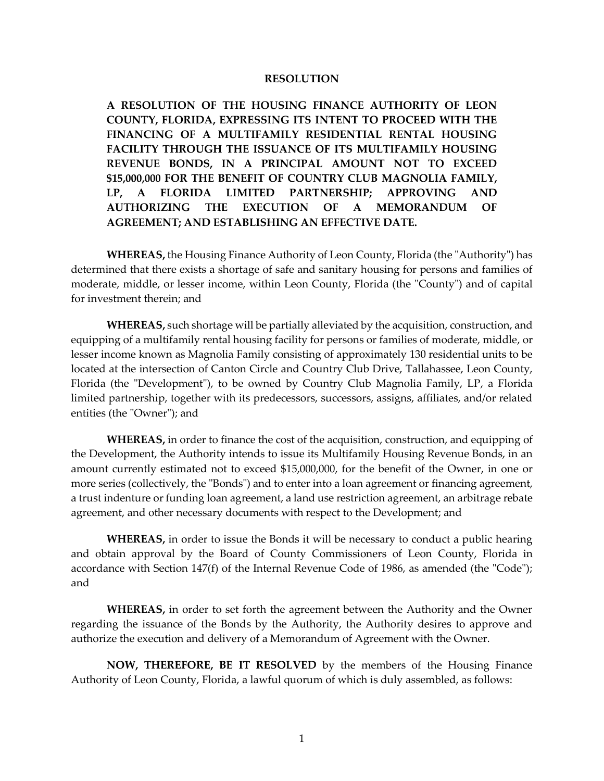## **RESOLUTION**

**A RESOLUTION OF THE HOUSING FINANCE AUTHORITY OF LEON COUNTY, FLORIDA, EXPRESSING ITS INTENT TO PROCEED WITH THE FINANCING OF A MULTIFAMILY RESIDENTIAL RENTAL HOUSING FACILITY THROUGH THE ISSUANCE OF ITS MULTIFAMILY HOUSING REVENUE BONDS, IN A PRINCIPAL AMOUNT NOT TO EXCEED \$15,000,000 FOR THE BENEFIT OF COUNTRY CLUB MAGNOLIA FAMILY, LP, A FLORIDA LIMITED PARTNERSHIP; APPROVING AND AUTHORIZING THE EXECUTION OF A MEMORANDUM OF AGREEMENT; AND ESTABLISHING AN EFFECTIVE DATE.**

**WHEREAS,** the Housing Finance Authority of Leon County, Florida (the "Authority") has determined that there exists a shortage of safe and sanitary housing for persons and families of moderate, middle, or lesser income, within Leon County, Florida (the "County") and of capital for investment therein; and

**WHEREAS,** such shortage will be partially alleviated by the acquisition, construction, and equipping of a multifamily rental housing facility for persons or families of moderate, middle, or lesser income known as Magnolia Family consisting of approximately 130 residential units to be located at the intersection of Canton Circle and Country Club Drive, Tallahassee, Leon County, Florida (the "Development"), to be owned by Country Club Magnolia Family, LP, a Florida limited partnership, together with its predecessors, successors, assigns, affiliates, and/or related entities (the "Owner"); and

**WHEREAS,** in order to finance the cost of the acquisition, construction, and equipping of the Development, the Authority intends to issue its Multifamily Housing Revenue Bonds, in an amount currently estimated not to exceed \$15,000,000, for the benefit of the Owner, in one or more series (collectively, the "Bonds") and to enter into a loan agreement or financing agreement, a trust indenture or funding loan agreement, a land use restriction agreement, an arbitrage rebate agreement, and other necessary documents with respect to the Development; and

**WHEREAS,** in order to issue the Bonds it will be necessary to conduct a public hearing and obtain approval by the Board of County Commissioners of Leon County, Florida in accordance with Section 147(f) of the Internal Revenue Code of 1986, as amended (the "Code"); and

**WHEREAS,** in order to set forth the agreement between the Authority and the Owner regarding the issuance of the Bonds by the Authority, the Authority desires to approve and authorize the execution and delivery of a Memorandum of Agreement with the Owner.

**NOW, THEREFORE, BE IT RESOLVED** by the members of the Housing Finance Authority of Leon County, Florida, a lawful quorum of which is duly assembled, as follows: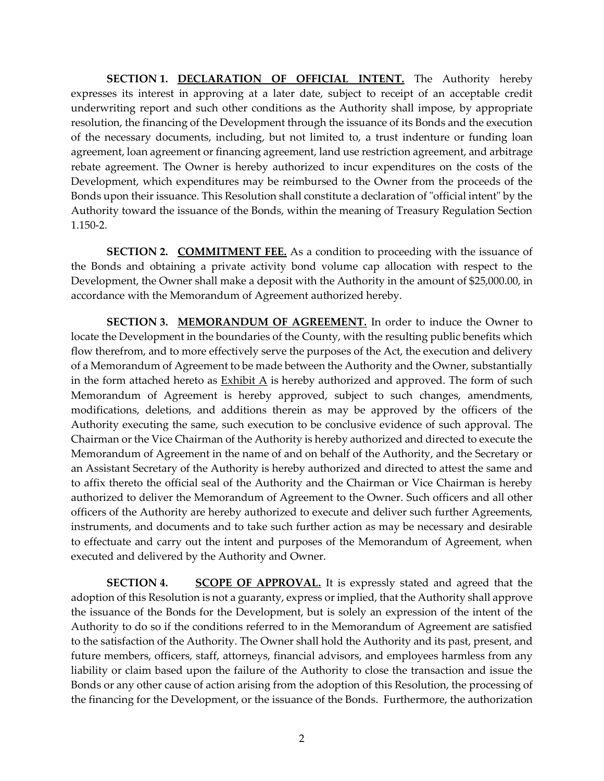**SECTION 1. DECLARATION OF OFFICIAL INTENT.** The Authority hereby expresses its interest in approving at a later date, subject to receipt of an acceptable credit underwriting report and such other conditions as the Authority shall impose, by appropriate resolution, the financing of the Development through the issuance of its Bonds and the execution of the necessary documents, including, but not limited to, a trust indenture or funding loan agreement, loan agreement or financing agreement, land use restriction agreement, and arbitrage rebate agreement. The Owner is hereby authorized to incur expenditures on the costs of the Development, which expenditures may be reimbursed to the Owner from the proceeds of the Bonds upon their issuance. This Resolution shall constitute a declaration of "official intent" by the Authority toward the issuance of the Bonds, within the meaning of Treasury Regulation Section 1.150-2.

**SECTION 2. COMMITMENT FEE.** As a condition to proceeding with the issuance of the Bonds and obtaining a private activity bond volume cap allocation with respect to the Development, the Owner shall make a deposit with the Authority in the amount of \$25,000.00, in accordance with the Memorandum of Agreement authorized hereby.

**SECTION 3. MEMORANDUM OF AGREEMENT.** In order to induce the Owner to locate the Development in the boundaries of the County, with the resulting public benefits which flow therefrom, and to more effectively serve the purposes of the Act, the execution and delivery of a Memorandum of Agreement to be made between the Authority and the Owner, substantially in the form attached hereto as Exhibit A is hereby authorized and approved. The form of such Memorandum of Agreement is hereby approved, subject to such changes, amendments, modifications, deletions, and additions therein as may be approved by the officers of the Authority executing the same, such execution to be conclusive evidence of such approval. The Chairman or the Vice Chairman of the Authority is hereby authorized and directed to execute the Memorandum of Agreement in the name of and on behalf of the Authority, and the Secretary or an Assistant Secretary of the Authority is hereby authorized and directed to attest the same and to affix thereto the official seal of the Authority and the Chairman or Vice Chairman is hereby authorized to deliver the Memorandum of Agreement to the Owner. Such officers and all other officers of the Authority are hereby authorized to execute and deliver such further Agreements, instruments, and documents and to take such further action as may be necessary and desirable to effectuate and carry out the intent and purposes of the Memorandum of Agreement, when executed and delivered by the Authority and Owner.

**SECTION 4. SCOPE OF APPROVAL.** It is expressly stated and agreed that the adoption of this Resolution is not a guaranty, express or implied, that the Authority shall approve the issuance of the Bonds for the Development, but is solely an expression of the intent of the Authority to do so if the conditions referred to in the Memorandum of Agreement are satisfied to the satisfaction of the Authority. The Owner shall hold the Authority and its past, present, and future members, officers, staff, attorneys, financial advisors, and employees harmless from any liability or claim based upon the failure of the Authority to close the transaction and issue the Bonds or any other cause of action arising from the adoption of this Resolution, the processing of the financing for the Development, or the issuance of the Bonds. Furthermore, the authorization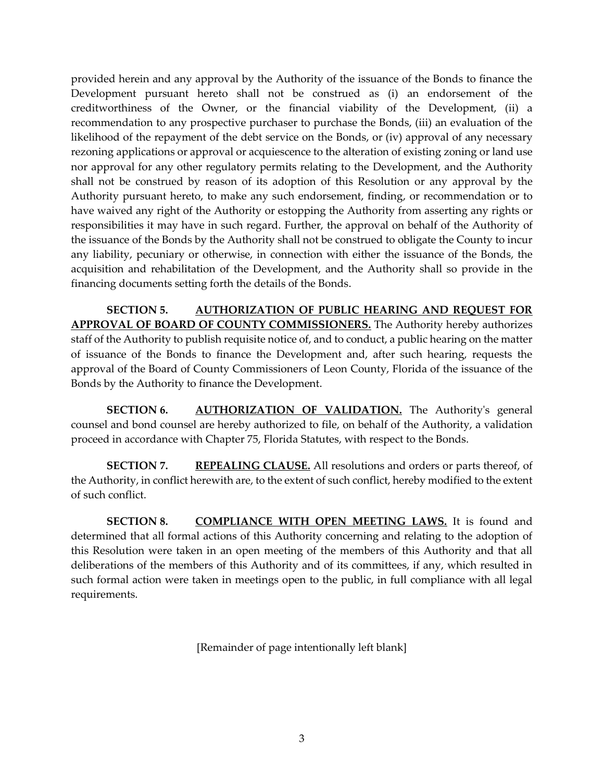provided herein and any approval by the Authority of the issuance of the Bonds to finance the Development pursuant hereto shall not be construed as (i) an endorsement of the creditworthiness of the Owner, or the financial viability of the Development, (ii) a recommendation to any prospective purchaser to purchase the Bonds, (iii) an evaluation of the likelihood of the repayment of the debt service on the Bonds, or (iv) approval of any necessary rezoning applications or approval or acquiescence to the alteration of existing zoning or land use nor approval for any other regulatory permits relating to the Development, and the Authority shall not be construed by reason of its adoption of this Resolution or any approval by the Authority pursuant hereto, to make any such endorsement, finding, or recommendation or to have waived any right of the Authority or estopping the Authority from asserting any rights or responsibilities it may have in such regard. Further, the approval on behalf of the Authority of the issuance of the Bonds by the Authority shall not be construed to obligate the County to incur any liability, pecuniary or otherwise, in connection with either the issuance of the Bonds, the acquisition and rehabilitation of the Development, and the Authority shall so provide in the financing documents setting forth the details of the Bonds.

**SECTION 5. AUTHORIZATION OF PUBLIC HEARING AND REQUEST FOR APPROVAL OF BOARD OF COUNTY COMMISSIONERS.** The Authority hereby authorizes staff of the Authority to publish requisite notice of, and to conduct, a public hearing on the matter of issuance of the Bonds to finance the Development and, after such hearing, requests the approval of the Board of County Commissioners of Leon County, Florida of the issuance of the Bonds by the Authority to finance the Development.

**SECTION 6. AUTHORIZATION OF VALIDATION.** The Authority's general counsel and bond counsel are hereby authorized to file, on behalf of the Authority, a validation proceed in accordance with Chapter 75, Florida Statutes, with respect to the Bonds.

**SECTION 7. REPEALING CLAUSE.** All resolutions and orders or parts thereof, of the Authority, in conflict herewith are, to the extent of such conflict, hereby modified to the extent of such conflict.

**SECTION 8. COMPLIANCE WITH OPEN MEETING LAWS.** It is found and determined that all formal actions of this Authority concerning and relating to the adoption of this Resolution were taken in an open meeting of the members of this Authority and that all deliberations of the members of this Authority and of its committees, if any, which resulted in such formal action were taken in meetings open to the public, in full compliance with all legal requirements.

[Remainder of page intentionally left blank]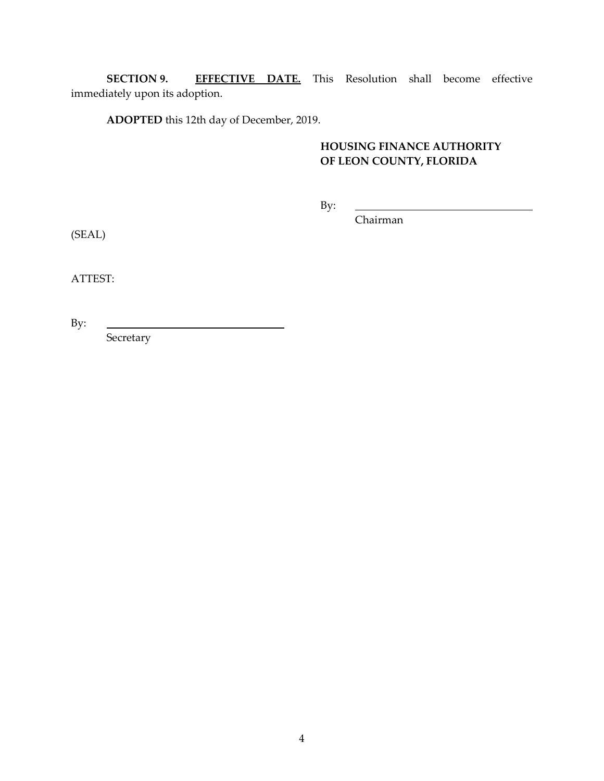**SECTION 9. EFFECTIVE DATE.** This Resolution shall become effective immediately upon its adoption.

**ADOPTED** this 12th day of December, 2019.

## **HOUSING FINANCE AUTHORITY OF LEON COUNTY, FLORIDA**

By:

Chairman

(SEAL)

ATTEST:

By:

Secretary